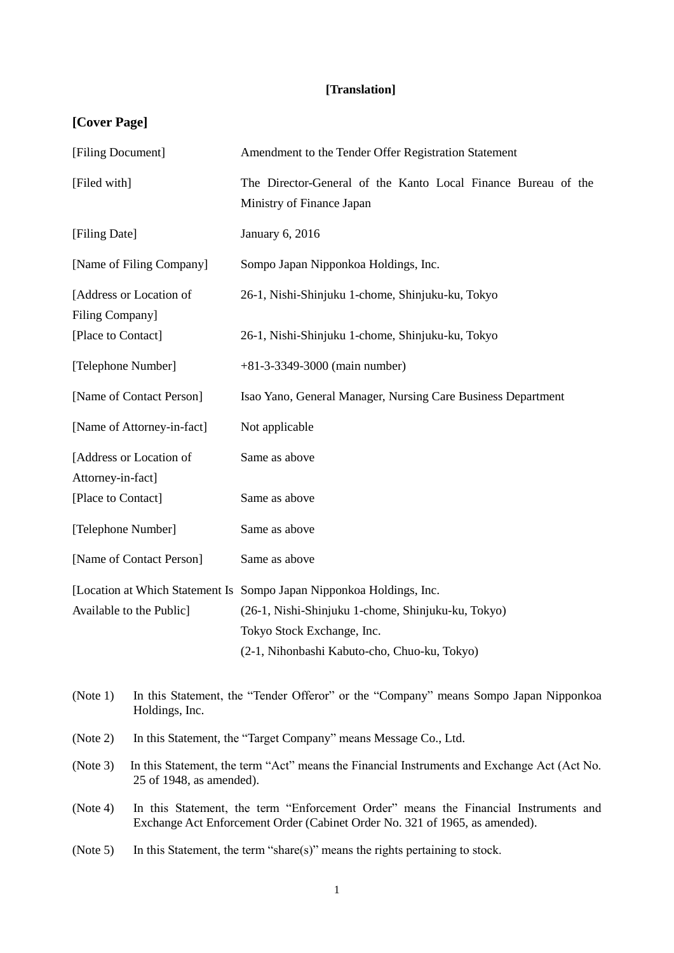## **[Translation]**

# **[Cover Page]**

| [Filing Document]                                                           | Amendment to the Tender Offer Registration Statement                                                                                                               |  |
|-----------------------------------------------------------------------------|--------------------------------------------------------------------------------------------------------------------------------------------------------------------|--|
| [Filed with]                                                                | The Director-General of the Kanto Local Finance Bureau of the<br>Ministry of Finance Japan                                                                         |  |
| [Filing Date]                                                               | <b>January 6, 2016</b>                                                                                                                                             |  |
| [Name of Filing Company]                                                    | Sompo Japan Nipponkoa Holdings, Inc.                                                                                                                               |  |
| [Address or Location of<br>Filing Company]                                  | 26-1, Nishi-Shinjuku 1-chome, Shinjuku-ku, Tokyo                                                                                                                   |  |
| [Place to Contact]                                                          | 26-1, Nishi-Shinjuku 1-chome, Shinjuku-ku, Tokyo                                                                                                                   |  |
| [Telephone Number]                                                          | $+81-3-3349-3000$ (main number)                                                                                                                                    |  |
| [Name of Contact Person]                                                    | Isao Yano, General Manager, Nursing Care Business Department                                                                                                       |  |
| [Name of Attorney-in-fact]                                                  | Not applicable                                                                                                                                                     |  |
| [Address or Location of<br>Attorney-in-fact]                                | Same as above                                                                                                                                                      |  |
| [Place to Contact]                                                          | Same as above                                                                                                                                                      |  |
| [Telephone Number]                                                          | Same as above                                                                                                                                                      |  |
| [Name of Contact Person]                                                    | Same as above                                                                                                                                                      |  |
|                                                                             | [Location at Which Statement Is Sompo Japan Nipponkoa Holdings, Inc.                                                                                               |  |
| Available to the Public]                                                    | (26-1, Nishi-Shinjuku 1-chome, Shinjuku-ku, Tokyo)                                                                                                                 |  |
|                                                                             | Tokyo Stock Exchange, Inc.                                                                                                                                         |  |
|                                                                             | (2-1, Nihonbashi Kabuto-cho, Chuo-ku, Tokyo)                                                                                                                       |  |
| (Note 1)<br>Holdings, Inc.                                                  | In this Statement, the "Tender Offeror" or the "Company" means Sompo Japan Nipponkoa                                                                               |  |
| (Note 2)<br>In this Statement, the "Target Company" means Message Co., Ltd. |                                                                                                                                                                    |  |
| (Note 3)                                                                    | In this Statement, the term "Act" means the Financial Instruments and Exchange Act (Act No.<br>25 of 1948, as amended).                                            |  |
| (Note 4)                                                                    | In this Statement, the term "Enforcement Order" means the Financial Instruments and<br>Exchange Act Enforcement Order (Cabinet Order No. 321 of 1965, as amended). |  |
| (Note 5)                                                                    | In this Statement, the term "share(s)" means the rights pertaining to stock.                                                                                       |  |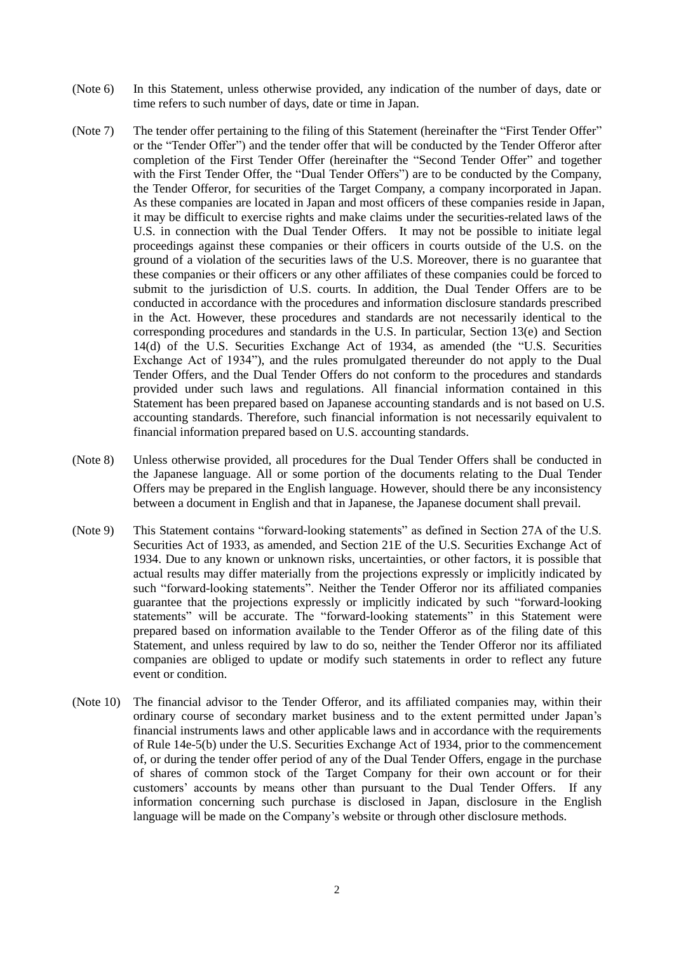- (Note 6) In this Statement, unless otherwise provided, any indication of the number of days, date or time refers to such number of days, date or time in Japan.
- (Note 7) The tender offer pertaining to the filing of this Statement (hereinafter the "First Tender Offer" or the "Tender Offer") and the tender offer that will be conducted by the Tender Offeror after completion of the First Tender Offer (hereinafter the "Second Tender Offer" and together with the First Tender Offer, the "Dual Tender Offers") are to be conducted by the Company, the Tender Offeror, for securities of the Target Company, a company incorporated in Japan. As these companies are located in Japan and most officers of these companies reside in Japan, it may be difficult to exercise rights and make claims under the securities-related laws of the U.S. in connection with the Dual Tender Offers. It may not be possible to initiate legal proceedings against these companies or their officers in courts outside of the U.S. on the ground of a violation of the securities laws of the U.S. Moreover, there is no guarantee that these companies or their officers or any other affiliates of these companies could be forced to submit to the jurisdiction of U.S. courts. In addition, the Dual Tender Offers are to be conducted in accordance with the procedures and information disclosure standards prescribed in the Act. However, these procedures and standards are not necessarily identical to the corresponding procedures and standards in the U.S. In particular, Section 13(e) and Section 14(d) of the U.S. Securities Exchange Act of 1934, as amended (the "U.S. Securities Exchange Act of 1934"), and the rules promulgated thereunder do not apply to the Dual Tender Offers, and the Dual Tender Offers do not conform to the procedures and standards provided under such laws and regulations. All financial information contained in this Statement has been prepared based on Japanese accounting standards and is not based on U.S. accounting standards. Therefore, such financial information is not necessarily equivalent to financial information prepared based on U.S. accounting standards.
- (Note 8) Unless otherwise provided, all procedures for the Dual Tender Offers shall be conducted in the Japanese language. All or some portion of the documents relating to the Dual Tender Offers may be prepared in the English language. However, should there be any inconsistency between a document in English and that in Japanese, the Japanese document shall prevail.
- (Note 9) This Statement contains "forward-looking statements" as defined in Section 27A of the U.S. Securities Act of 1933, as amended, and Section 21E of the U.S. Securities Exchange Act of 1934. Due to any known or unknown risks, uncertainties, or other factors, it is possible that actual results may differ materially from the projections expressly or implicitly indicated by such "forward-looking statements". Neither the Tender Offeror nor its affiliated companies guarantee that the projections expressly or implicitly indicated by such "forward-looking statements" will be accurate. The "forward-looking statements" in this Statement were prepared based on information available to the Tender Offeror as of the filing date of this Statement, and unless required by law to do so, neither the Tender Offeror nor its affiliated companies are obliged to update or modify such statements in order to reflect any future event or condition.
- (Note 10) The financial advisor to the Tender Offeror, and its affiliated companies may, within their ordinary course of secondary market business and to the extent permitted under Japan's financial instruments laws and other applicable laws and in accordance with the requirements of Rule 14e-5(b) under the U.S. Securities Exchange Act of 1934, prior to the commencement of, or during the tender offer period of any of the Dual Tender Offers, engage in the purchase of shares of common stock of the Target Company for their own account or for their customers' accounts by means other than pursuant to the Dual Tender Offers. If any information concerning such purchase is disclosed in Japan, disclosure in the English language will be made on the Company's website or through other disclosure methods.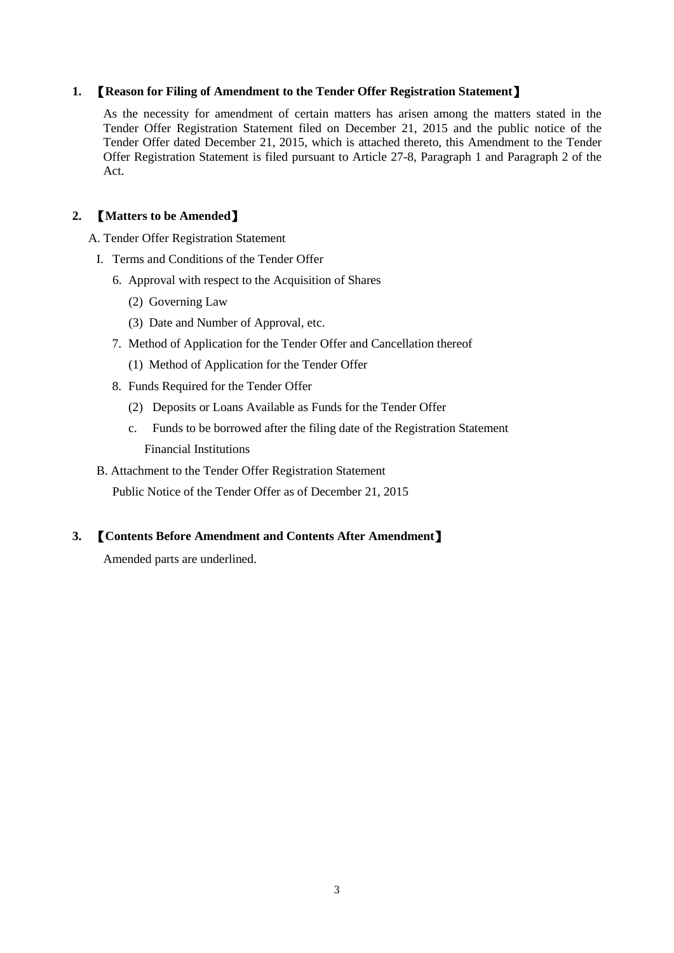#### **1.** 【**Reason for Filing of Amendment to the Tender Offer Registration Statement**】

As the necessity for amendment of certain matters has arisen among the matters stated in the Tender Offer Registration Statement filed on December 21, 2015 and the public notice of the Tender Offer dated December 21, 2015, which is attached thereto, this Amendment to the Tender Offer Registration Statement is filed pursuant to Article 27-8, Paragraph 1 and Paragraph 2 of the Act.

#### **2.** 【**Matters to be Amended**】

A. Tender Offer Registration Statement

- I. Terms and Conditions of the Tender Offer
	- 6. Approval with respect to the Acquisition of Shares
		- (2) Governing Law
		- (3) Date and Number of Approval, etc.
	- 7. Method of Application for the Tender Offer and Cancellation thereof
		- (1) Method of Application for the Tender Offer
	- 8. Funds Required for the Tender Offer
		- (2) Deposits or Loans Available as Funds for the Tender Offer
		- c. Funds to be borrowed after the filing date of the Registration Statement Financial Institutions
- B. Attachment to the Tender Offer Registration Statement

Public Notice of the Tender Offer as of December 21, 2015

#### **3.** 【**Contents Before Amendment and Contents After Amendment**】

Amended parts are underlined.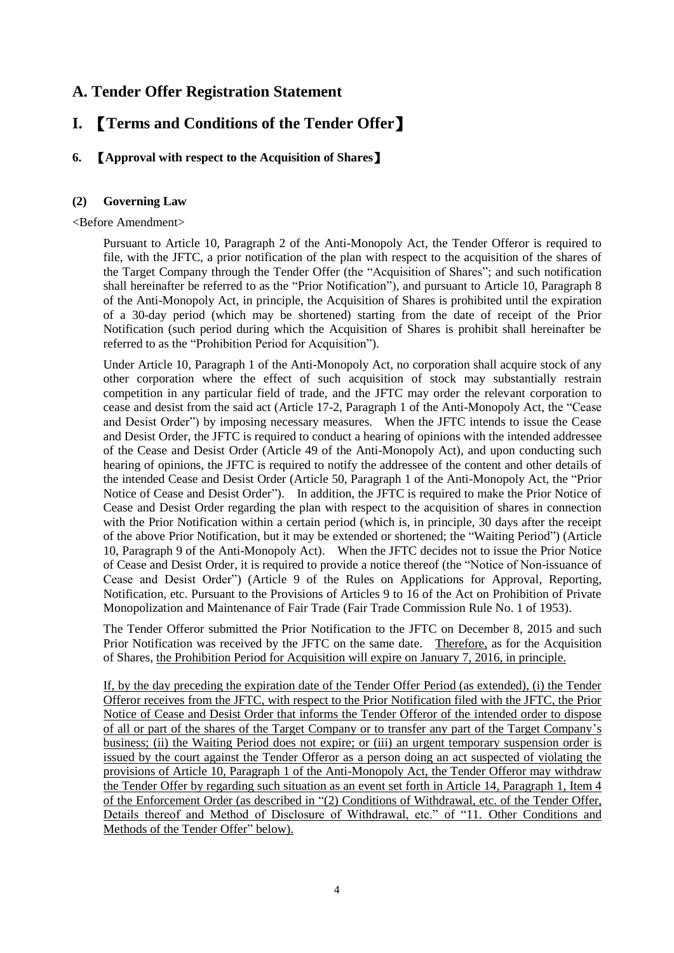## **A. Tender Offer Registration Statement**

## **I.** 【**Terms and Conditions of the Tender Offer**】

### **6.** 【**Approval with respect to the Acquisition of Shares**】

#### **(2) Governing Law**

#### <Before Amendment>

Pursuant to Article 10, Paragraph 2 of the Anti-Monopoly Act, the Tender Offeror is required to file, with the JFTC, a prior notification of the plan with respect to the acquisition of the shares of the Target Company through the Tender Offer (the "Acquisition of Shares"; and such notification shall hereinafter be referred to as the "Prior Notification"), and pursuant to Article 10, Paragraph 8 of the Anti-Monopoly Act, in principle, the Acquisition of Shares is prohibited until the expiration of a 30-day period (which may be shortened) starting from the date of receipt of the Prior Notification (such period during which the Acquisition of Shares is prohibit shall hereinafter be referred to as the "Prohibition Period for Acquisition").

Under Article 10, Paragraph 1 of the Anti-Monopoly Act, no corporation shall acquire stock of any other corporation where the effect of such acquisition of stock may substantially restrain competition in any particular field of trade, and the JFTC may order the relevant corporation to cease and desist from the said act (Article 17-2, Paragraph 1 of the Anti-Monopoly Act, the "Cease and Desist Order") by imposing necessary measures. When the JFTC intends to issue the Cease and Desist Order, the JFTC is required to conduct a hearing of opinions with the intended addressee of the Cease and Desist Order (Article 49 of the Anti-Monopoly Act), and upon conducting such hearing of opinions, the JFTC is required to notify the addressee of the content and other details of the intended Cease and Desist Order (Article 50, Paragraph 1 of the Anti-Monopoly Act, the "Prior Notice of Cease and Desist Order"). In addition, the JFTC is required to make the Prior Notice of Cease and Desist Order regarding the plan with respect to the acquisition of shares in connection with the Prior Notification within a certain period (which is, in principle, 30 days after the receipt of the above Prior Notification, but it may be extended or shortened; the "Waiting Period") (Article 10, Paragraph 9 of the Anti-Monopoly Act). When the JFTC decides not to issue the Prior Notice of Cease and Desist Order, it is required to provide a notice thereof (the "Notice of Non-issuance of Cease and Desist Order") (Article 9 of the Rules on Applications for Approval, Reporting, Notification, etc. Pursuant to the Provisions of Articles 9 to 16 of the Act on Prohibition of Private Monopolization and Maintenance of Fair Trade (Fair Trade Commission Rule No. 1 of 1953).

The Tender Offeror submitted the Prior Notification to the JFTC on December 8, 2015 and such Prior Notification was received by the JFTC on the same date. Therefore, as for the Acquisition of Shares, the Prohibition Period for Acquisition will expire on January 7, 2016, in principle.

If, by the day preceding the expiration date of the Tender Offer Period (as extended), (i) the Tender Offeror receives from the JFTC, with respect to the Prior Notification filed with the JFTC, the Prior Notice of Cease and Desist Order that informs the Tender Offeror of the intended order to dispose of all or part of the shares of the Target Company or to transfer any part of the Target Company's business; (ii) the Waiting Period does not expire; or (iii) an urgent temporary suspension order is issued by the court against the Tender Offeror as a person doing an act suspected of violating the provisions of Article 10, Paragraph 1 of the Anti-Monopoly Act, the Tender Offeror may withdraw the Tender Offer by regarding such situation as an event set forth in Article 14, Paragraph 1, Item 4 of the Enforcement Order (as described in "(2) Conditions of Withdrawal, etc. of the Tender Offer, Details thereof and Method of Disclosure of Withdrawal, etc." of "11. Other Conditions and Methods of the Tender Offer" below).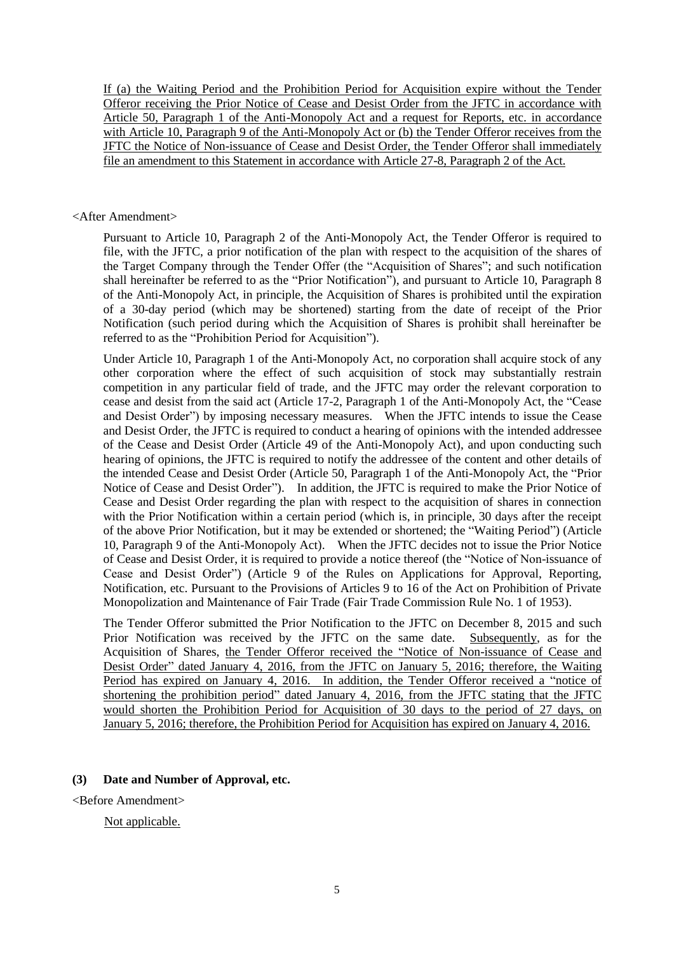If (a) the Waiting Period and the Prohibition Period for Acquisition expire without the Tender Offeror receiving the Prior Notice of Cease and Desist Order from the JFTC in accordance with Article 50, Paragraph 1 of the Anti-Monopoly Act and a request for Reports, etc. in accordance with Article 10, Paragraph 9 of the Anti-Monopoly Act or (b) the Tender Offeror receives from the JFTC the Notice of Non-issuance of Cease and Desist Order, the Tender Offeror shall immediately file an amendment to this Statement in accordance with Article 27-8, Paragraph 2 of the Act.

#### <After Amendment>

Pursuant to Article 10, Paragraph 2 of the Anti-Monopoly Act, the Tender Offeror is required to file, with the JFTC, a prior notification of the plan with respect to the acquisition of the shares of the Target Company through the Tender Offer (the "Acquisition of Shares"; and such notification shall hereinafter be referred to as the "Prior Notification"), and pursuant to Article 10, Paragraph 8 of the Anti-Monopoly Act, in principle, the Acquisition of Shares is prohibited until the expiration of a 30-day period (which may be shortened) starting from the date of receipt of the Prior Notification (such period during which the Acquisition of Shares is prohibit shall hereinafter be referred to as the "Prohibition Period for Acquisition").

Under Article 10, Paragraph 1 of the Anti-Monopoly Act, no corporation shall acquire stock of any other corporation where the effect of such acquisition of stock may substantially restrain competition in any particular field of trade, and the JFTC may order the relevant corporation to cease and desist from the said act (Article 17-2, Paragraph 1 of the Anti-Monopoly Act, the "Cease and Desist Order") by imposing necessary measures. When the JFTC intends to issue the Cease and Desist Order, the JFTC is required to conduct a hearing of opinions with the intended addressee of the Cease and Desist Order (Article 49 of the Anti-Monopoly Act), and upon conducting such hearing of opinions, the JFTC is required to notify the addressee of the content and other details of the intended Cease and Desist Order (Article 50, Paragraph 1 of the Anti-Monopoly Act, the "Prior Notice of Cease and Desist Order"). In addition, the JFTC is required to make the Prior Notice of Cease and Desist Order regarding the plan with respect to the acquisition of shares in connection with the Prior Notification within a certain period (which is, in principle, 30 days after the receipt of the above Prior Notification, but it may be extended or shortened; the "Waiting Period") (Article 10, Paragraph 9 of the Anti-Monopoly Act). When the JFTC decides not to issue the Prior Notice of Cease and Desist Order, it is required to provide a notice thereof (the "Notice of Non-issuance of Cease and Desist Order") (Article 9 of the Rules on Applications for Approval, Reporting, Notification, etc. Pursuant to the Provisions of Articles 9 to 16 of the Act on Prohibition of Private Monopolization and Maintenance of Fair Trade (Fair Trade Commission Rule No. 1 of 1953).

The Tender Offeror submitted the Prior Notification to the JFTC on December 8, 2015 and such Prior Notification was received by the JFTC on the same date. Subsequently, as for the Acquisition of Shares, the Tender Offeror received the "Notice of Non-issuance of Cease and Desist Order" dated January 4, 2016, from the JFTC on January 5, 2016; therefore, the Waiting Period has expired on January 4, 2016. In addition, the Tender Offeror received a "notice of shortening the prohibition period" dated January 4, 2016, from the JFTC stating that the JFTC would shorten the Prohibition Period for Acquisition of 30 days to the period of 27 days, on January 5, 2016; therefore, the Prohibition Period for Acquisition has expired on January 4, 2016.

#### **(3) Date and Number of Approval, etc.**

<Before Amendment>

#### Not applicable.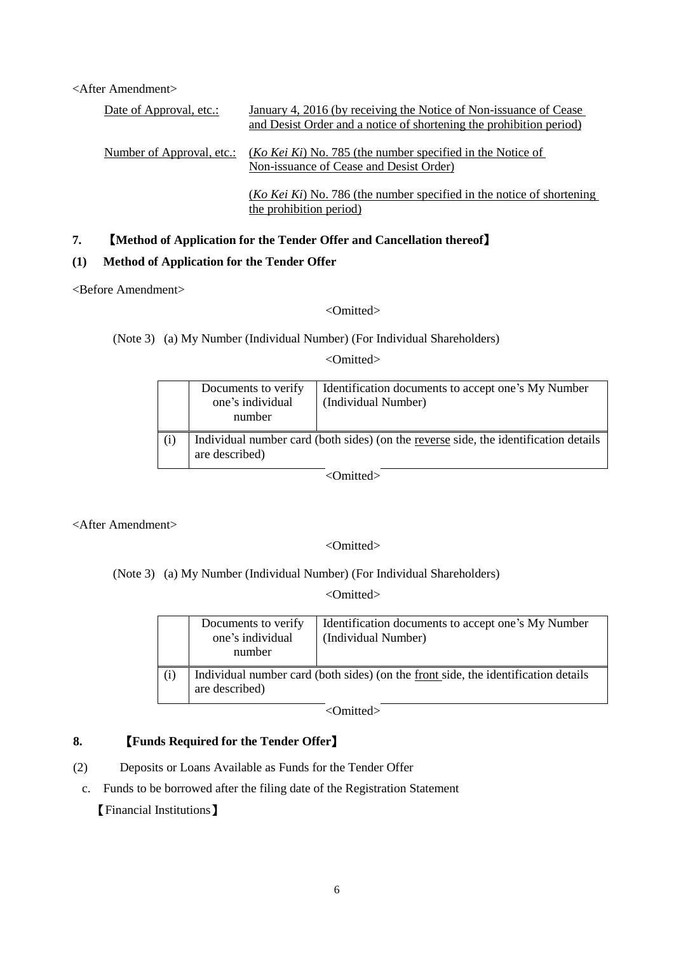<After Amendment>

| Date of Approval, etc.:   | January 4, 2016 (by receiving the Notice of Non-issuance of Cease                                              |
|---------------------------|----------------------------------------------------------------------------------------------------------------|
|                           | and Desist Order and a notice of shortening the prohibition period)                                            |
| Number of Approval, etc.: | ( <i>Ko Kei Ki</i> ) No. 785 (the number specified in the Notice of<br>Non-issuance of Cease and Desist Order) |
|                           | $(Ko$ Kei Ki) No. 786 (the number specified in the notice of shortening<br>the prohibition period)             |

#### **7.** 【**Method of Application for the Tender Offer and Cancellation thereof**】

#### **(1) Method of Application for the Tender Offer**

<Before Amendment>

<Omitted>

(Note 3) (a) My Number (Individual Number) (For Individual Shareholders)

<Omitted>

|     | Documents to verify<br>one's individual<br>number                                                      | Identification documents to accept one's My Number<br>(Individual Number) |
|-----|--------------------------------------------------------------------------------------------------------|---------------------------------------------------------------------------|
| (i) | Individual number card (both sides) (on the reverse side, the identification details<br>are described) |                                                                           |

<Omitted>

<After Amendment>

<Omitted>

(Note 3) (a) My Number (Individual Number) (For Individual Shareholders)

<Omitted>

|     | Documents to verify<br>one's individual<br>number                                                    | Identification documents to accept one's My Number<br>(Individual Number) |
|-----|------------------------------------------------------------------------------------------------------|---------------------------------------------------------------------------|
| (i) | Individual number card (both sides) (on the front side, the identification details<br>are described) |                                                                           |

<Omitted>

### **8.** 【**Funds Required for the Tender Offer**】

- (2) Deposits or Loans Available as Funds for the Tender Offer
	- c. Funds to be borrowed after the filing date of the Registration Statement

【Financial Institutions】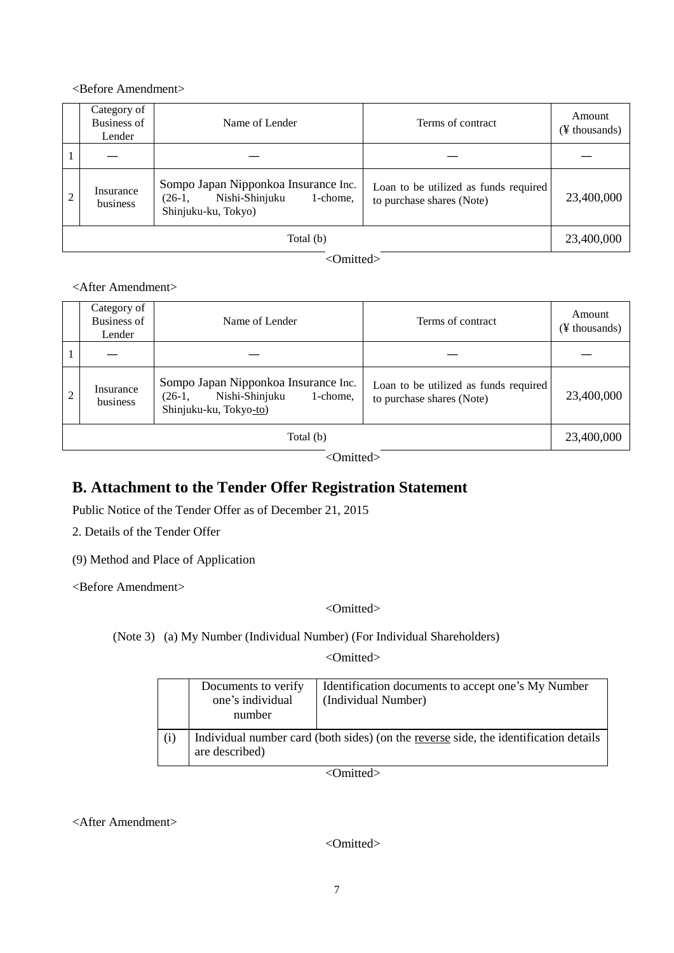#### <Before Amendment>

|           | Category of<br>Business of<br>Lender | Name of Lender                                                                                        | Terms of contract                                                  | Amount<br>(¥ thousands) |
|-----------|--------------------------------------|-------------------------------------------------------------------------------------------------------|--------------------------------------------------------------------|-------------------------|
|           |                                      |                                                                                                       |                                                                    |                         |
|           | Insurance<br>business                | Sompo Japan Nipponkoa Insurance Inc.<br>Nishi-Shinjuku<br>1-chome,<br>$(26-1,$<br>Shinjuku-ku, Tokyo) | Loan to be utilized as funds required<br>to purchase shares (Note) | 23,400,000              |
| Total (b) |                                      |                                                                                                       | 23,400,000                                                         |                         |

<Omitted>

#### <After Amendment>

|                | Category of<br><b>Business of</b><br>Lender | Name of Lender                                                                                           | Terms of contract                                                  | Amount<br>(¥ thousands) |
|----------------|---------------------------------------------|----------------------------------------------------------------------------------------------------------|--------------------------------------------------------------------|-------------------------|
|                |                                             |                                                                                                          |                                                                    |                         |
| $\overline{c}$ | Insurance<br>business                       | Sompo Japan Nipponkoa Insurance Inc.<br>Nishi-Shinjuku<br>$(26-1,$<br>1-chome,<br>Shinjuku-ku, Tokyo-to) | Loan to be utilized as funds required<br>to purchase shares (Note) | 23,400,000              |
| Total (b)      |                                             |                                                                                                          | 23,400,000                                                         |                         |

<Omitted>

## **B. Attachment to the Tender Offer Registration Statement**

Public Notice of the Tender Offer as of December 21, 2015

2. Details of the Tender Offer

(9) Method and Place of Application

<Before Amendment>

<Omitted>

(Note 3) (a) My Number (Individual Number) (For Individual Shareholders)

<Omitted>

|     | Documents to verify<br>one's individual<br>number                                                      | Identification documents to accept one's My Number<br>(Individual Number) |
|-----|--------------------------------------------------------------------------------------------------------|---------------------------------------------------------------------------|
| (i) | Individual number card (both sides) (on the reverse side, the identification details<br>are described) |                                                                           |

<Omitted>

<After Amendment>

<Omitted>